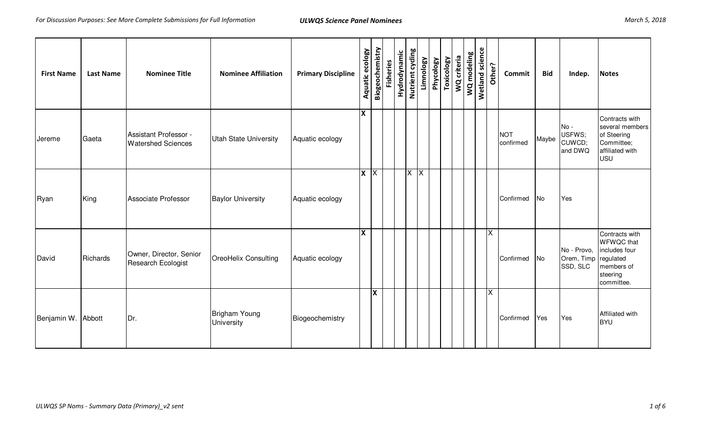| March 5, 2018 |  |
|---------------|--|
|               |  |

| <b>First Name</b>  | <b>Last Name</b> | <b>Nominee Title</b>                               | <b>Nominee Affiliation</b>         | <b>Primary Discipline</b> | Aquatic ecology         | Biogeochemistry | <b>Fisheries</b> | Hydrodynamic | Nutrient cycling        | Limnology    | Phycology | <b>Toxicology</b> | WQ criteria | WQ modeling | <b>Wetland science</b> | Other?                  | Commit                  | <b>Bid</b> | Indep.                                | <b>Notes</b>                                                                                              |
|--------------------|------------------|----------------------------------------------------|------------------------------------|---------------------------|-------------------------|-----------------|------------------|--------------|-------------------------|--------------|-----------|-------------------|-------------|-------------|------------------------|-------------------------|-------------------------|------------|---------------------------------------|-----------------------------------------------------------------------------------------------------------|
| Jereme             | Gaeta            | Assistant Professor -<br><b>Watershed Sciences</b> | <b>Utah State University</b>       | Aquatic ecology           | $\overline{\mathbf{x}}$ |                 |                  |              |                         |              |           |                   |             |             |                        |                         | <b>NOT</b><br>confirmed | Maybe      | $No -$<br>USFWS;<br>CUWCD;<br>and DWQ | Contracts with<br>several members<br>of Steering<br>Committee;<br>affiliated with<br><b>USU</b>           |
| Ryan               | King             | Associate Professor                                | <b>Baylor University</b>           | Aquatic ecology           | $x \times$              |                 |                  |              | $\overline{\mathsf{X}}$ | $\mathsf{X}$ |           |                   |             |             |                        |                         | Confirmed               | <b>No</b>  | Yes                                   |                                                                                                           |
| David              | Richards         | Owner, Director, Senior<br>Research Ecologist      | OreoHelix Consulting               | Aquatic ecology           | <b>X</b>                |                 |                  |              |                         |              |           |                   |             |             |                        | $\overline{\mathsf{x}}$ | Confirmed               | <b>No</b>  | No - Provo,<br>Orem, Timp<br>SSD, SLC | Contracts with<br><b>WFWQC</b> that<br>includes four<br>regulated<br>members of<br>steering<br>committee. |
| Benjamin W. Abbott |                  | Dr.                                                | Brigham Young<br><b>University</b> | Biogeochemistry           |                         | X               |                  |              |                         |              |           |                   |             |             |                        | X                       | Confirmed               | Yes        | Yes                                   | Affiliated with<br><b>BYU</b>                                                                             |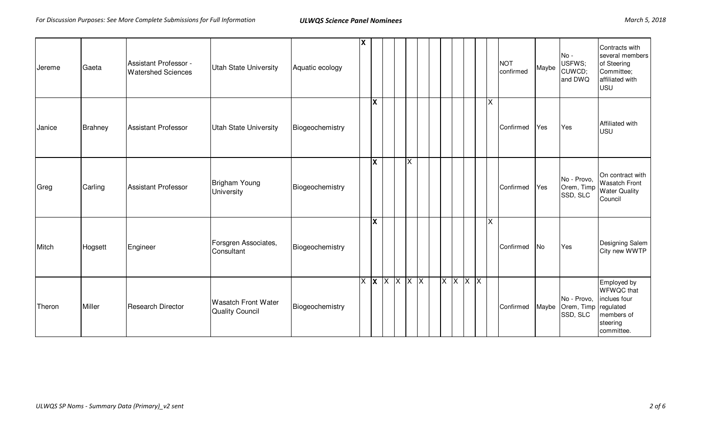| Jereme | Gaeta   | Assistant Professor -<br><b>Watershed Sciences</b> | <b>Utah State University</b>                  | Aquatic ecology | ΙX |          |                         |    |  |                 |  |                         | <b>NOT</b><br>confirmed | Maybe | $No -$<br>USFWS;<br>CUWCD;<br>and DWQ | Contracts with<br>several members<br>of Steering<br>Committee;<br>affiliated with<br><b>USU</b>       |
|--------|---------|----------------------------------------------------|-----------------------------------------------|-----------------|----|----------|-------------------------|----|--|-----------------|--|-------------------------|-------------------------|-------|---------------------------------------|-------------------------------------------------------------------------------------------------------|
| Janice | Brahney | <b>Assistant Professor</b>                         | <b>Utah State University</b>                  | Biogeochemistry |    | <b>X</b> |                         |    |  |                 |  | $\times$                | Confirmed               | Yes   | Yes                                   | Affiliated with<br><b>USU</b>                                                                         |
| Greg   | Carling | <b>Assistant Professor</b>                         | Brigham Young<br><b>University</b>            | Biogeochemistry |    | lχ       |                         | ΙX |  |                 |  |                         | Confirmed               | Yes   | No - Provo,<br>Orem, Timp<br>SSD, SLC | On contract with<br><b>Wasatch Front</b><br><b>Water Quality</b><br>Council                           |
| Mitch  | Hogsett | Engineer                                           | Forsgren Associates,<br>Consultant            | Biogeochemistry |    | X        |                         |    |  |                 |  | $\overline{\mathsf{x}}$ | Confirmed               | No    | Yes                                   | Designing Salem<br>City new WWTP                                                                      |
| Theron | Miller  | <b>Research Director</b>                           | <b>Wasatch Front Water</b><br>Quality Council | Biogeochemistry |    |          | $X$ $X$ $X$ $X$ $X$ $X$ |    |  | $X$ $X$ $X$ $X$ |  |                         | Confirmed               | Maybe | No - Provo,<br>Orem, Timp<br>SSD, SLC | Employed by<br><b>WFWQC</b> that<br>inclues four<br>regulated<br>members of<br>steering<br>committee. |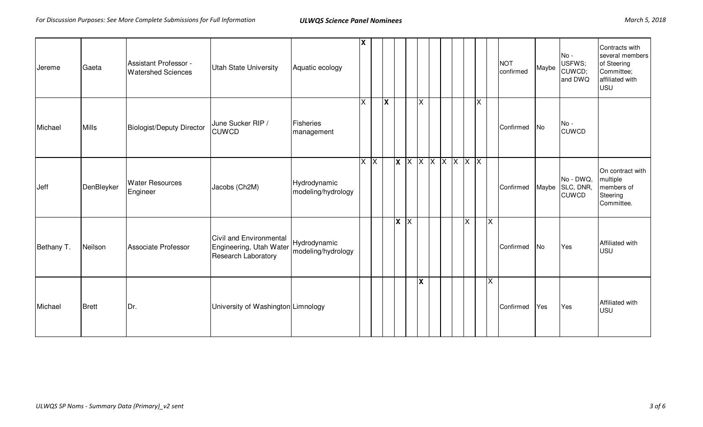| Jereme     | Gaeta        | Assistant Professor -<br><b>Watershed Sciences</b> | Utah State University                                                     | Aquatic ecology                    | ΙX       |   |         |                         |                                |  |   |                         |                         | <b>NOT</b><br>confirmed | Maybe     | $No -$<br>USFWS;<br>CUWCD;<br>and DWQ  | Contracts with<br>several members<br>of Steering<br>Committee;<br>affiliated with<br><b>USU</b> |
|------------|--------------|----------------------------------------------------|---------------------------------------------------------------------------|------------------------------------|----------|---|---------|-------------------------|--------------------------------|--|---|-------------------------|-------------------------|-------------------------|-----------|----------------------------------------|-------------------------------------------------------------------------------------------------|
| Michael    | <b>Mills</b> | <b>Biologist/Deputy Director</b>                   | June Sucker RIP /<br><b>CUWCD</b>                                         | Fisheries<br>management            | $\times$ | X |         | $\times$                |                                |  |   | $\overline{\mathsf{X}}$ |                         | Confirmed               | <b>No</b> | $No -$<br><b>CUWCD</b>                 |                                                                                                 |
| Jeff       | DenBleyker   | <b>Water Resources</b><br>Engineer                 | Jacobs (Ch2M)                                                             | Hydrodynamic<br>modeling/hydrology | $X$ $X$  |   |         |                         | $x \times x$ x $x$ x $x$ x $x$ |  |   |                         |                         | Confirmed               | Maybe     | No - DWQ,<br>SLC, DNR,<br><b>CUWCD</b> | On contract with<br>multiple<br>members of<br>Steering<br>Committee.                            |
| Bethany T. | Neilson      | Associate Professor                                | Civil and Environmental<br>Engineering, Utah Water<br>Research Laboratory | Hydrodynamic<br>modeling/hydrology |          |   | $X$ $X$ |                         |                                |  | X |                         | ΙX                      | Confirmed               | No        | Yes                                    | Affiliated with<br><b>USU</b>                                                                   |
| Michael    | Brett        | Dr.                                                | University of Washington Limnology                                        |                                    |          |   |         | $\overline{\mathbf{x}}$ |                                |  |   |                         | $\overline{\mathsf{x}}$ | Confirmed               | Yes       | Yes                                    | Affiliated with<br><b>USU</b>                                                                   |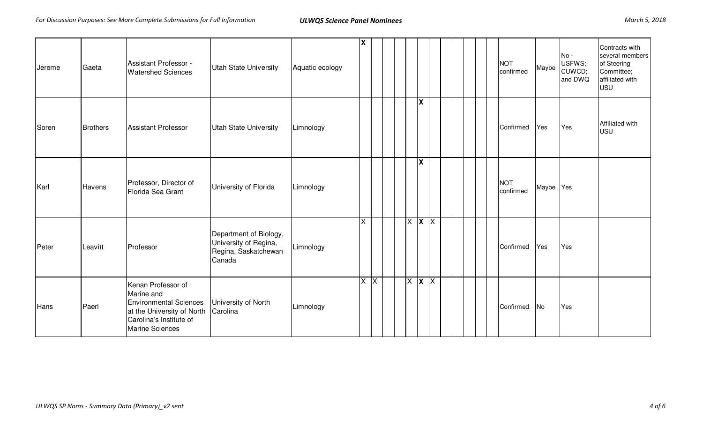| Jereme | Gaeta           | Assistant Professor -<br><b>Watershed Sciences</b>                                                                                            | <b>Utah State University</b>                                                      | Aquatic ecology | x  |                               |  |                         |  |  | <b>NOT</b><br>confirmed | Maybe     | $No -$<br>USFWS;<br>CUWCD;<br>and DWQ | Contracts with<br>several members<br>of Steering<br>Committee;<br>affiliated with<br><b>USU</b> |
|--------|-----------------|-----------------------------------------------------------------------------------------------------------------------------------------------|-----------------------------------------------------------------------------------|-----------------|----|-------------------------------|--|-------------------------|--|--|-------------------------|-----------|---------------------------------------|-------------------------------------------------------------------------------------------------|
| Soren  | <b>Brothers</b> | <b>Assistant Professor</b>                                                                                                                    | <b>Utah State University</b>                                                      | Limnology       |    |                               |  | <b>X</b>                |  |  | Confirmed               | Yes       | Yes                                   | Affiliated with<br><b>USU</b>                                                                   |
| Karl   | Havens          | Professor, Director of<br>Florida Sea Grant                                                                                                   | University of Florida                                                             | Limnology       |    |                               |  | $\overline{\mathbf{x}}$ |  |  | <b>NOT</b><br>confirmed | Maybe Yes |                                       |                                                                                                 |
| Peter  | Leavitt         | Professor                                                                                                                                     | Department of Biology,<br>University of Regina,<br>Regina, Saskatchewan<br>Canada | Limnology       | X. |                               |  | $X$ $X$ $X$             |  |  | Confirmed               | Yes       | Yes                                   |                                                                                                 |
| Hans   | Paerl           | Kenan Professor of<br>Marine and<br><b>Environmental Sciences</b><br>at the University of North<br>Carolina's Institute of<br>Marine Sciences | University of North<br>Carolina                                                   | Limnology       |    | $\overline{X}$ $\overline{X}$ |  | $X$ $X$ $X$             |  |  | Confirmed               | No        | Yes                                   |                                                                                                 |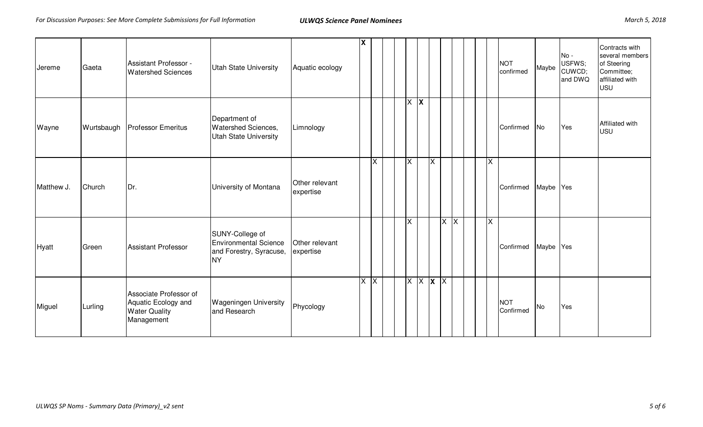| Jereme     | Gaeta      | Assistant Professor -<br><b>Watershed Sciences</b>                                  | <b>Utah State University</b>                                                     | Aquatic ecology             | х       |          |  |                         |         |             |         |  |                         | <b>NOT</b><br>confirmed | Maybe     | $No -$<br>USFWS;<br>CUWCD;<br>and DWQ | Contracts with<br>several members<br>of Steering<br>Committee;<br>affiliated with<br><b>USU</b> |
|------------|------------|-------------------------------------------------------------------------------------|----------------------------------------------------------------------------------|-----------------------------|---------|----------|--|-------------------------|---------|-------------|---------|--|-------------------------|-------------------------|-----------|---------------------------------------|-------------------------------------------------------------------------------------------------|
| Wayne      | Wurtsbaugh | <b>Professor Emeritus</b>                                                           | Department of<br><b>Watershed Sciences,</b><br><b>Utah State University</b>      | Limnology                   |         |          |  |                         | $X$ $X$ |             |         |  |                         | Confirmed               | No        | Yes                                   | Affiliated with<br><b>USU</b>                                                                   |
| Matthew J. | Church     | Dr.                                                                                 | University of Montana                                                            | Other relevant<br>expertise |         | $\times$ |  | $\overline{\mathsf{x}}$ |         | $\times$    |         |  | $\times$                | Confirmed               | Maybe Yes |                                       |                                                                                                 |
| Hyatt      | Green      | <b>Assistant Professor</b>                                                          | SUNY-College of<br>Environmental Science<br>and Forestry, Syracuse,<br><b>NY</b> | Other relevant<br>expertise |         |          |  | <b>X</b>                |         |             | $X$ $X$ |  | $\overline{\mathsf{x}}$ | Confirmed               | Maybe Yes |                                       |                                                                                                 |
| Miguel     | Lurling    | Associate Professor of<br>Aquatic Ecology and<br><b>Water Quality</b><br>Management | <b>Wageningen University</b><br>and Research                                     | Phycology                   | $X$ $X$ |          |  |                         |         | $X$ $X$ $X$ |         |  |                         | <b>NOT</b><br>Confirmed | <b>No</b> | Yes                                   |                                                                                                 |